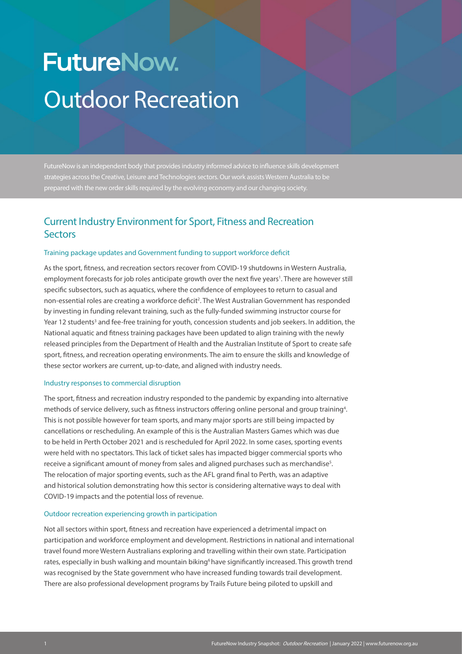# **FutureNow.** Outdoor Recreation

FutureNow is an independent body that provides industry informed advice to influence skills development strategies across the Creative, Leisure and Technologies sectors. Our work assists Western Australia to be prepared with the new order skills required by the evolving economy and our changing society.

# Current Industry Environment for Sport, Fitness and Recreation **Sectors**

#### Training package updates and Government funding to support workforce deficit

As the sport, fitness, and recreation sectors recover from COVID-19 shutdowns in Western Australia, employment forecasts for job roles anticipate growth over the next five years<sup>1</sup>. There are however still specific subsectors, such as aquatics, where the confidence of employees to return to casual and non-essential roles are creating a workforce deficit<sup>2</sup>. The West Australian Government has responded by investing in funding relevant training, such as the fully-funded swimming instructor course for Year 12 students<sup>3</sup> and fee-free training for youth, concession students and job seekers. In addition, the National aquatic and fitness training packages have been updated to align training with the newly released principles from the Department of Health and the Australian Institute of Sport to create safe sport, fitness, and recreation operating environments. The aim to ensure the skills and knowledge of these sector workers are current, up-to-date, and aligned with industry needs.

#### Industry responses to commercial disruption

The sport, fitness and recreation industry responded to the pandemic by expanding into alternative methods of service delivery, such as fitness instructors offering online personal and group training<sup>4</sup>. This is not possible however for team sports, and many major sports are still being impacted by cancellations or rescheduling. An example of this is the Australian Masters Games which was due to be held in Perth October 2021 and is rescheduled for April 2022. In some cases, sporting events were held with no spectators. This lack of ticket sales has impacted bigger commercial sports who receive a significant amount of money from sales and aligned purchases such as merchandise $^{\rm 5}$ . The relocation of major sporting events, such as the AFL grand final to Perth, was an adaptive and historical solution demonstrating how this sector is considering alternative ways to deal with COVID-19 impacts and the potential loss of revenue.

#### Outdoor recreation experiencing growth in participation

Not all sectors within sport, fitness and recreation have experienced a detrimental impact on participation and workforce employment and development. Restrictions in national and international travel found more Western Australians exploring and travelling within their own state. Participation rates, especially in bush walking and mountain biking<sup>6</sup> have significantly increased. This growth trend was recognised by the State government who have increased funding towards trail development. There are also professional development programs by Trails Future being piloted to upskill and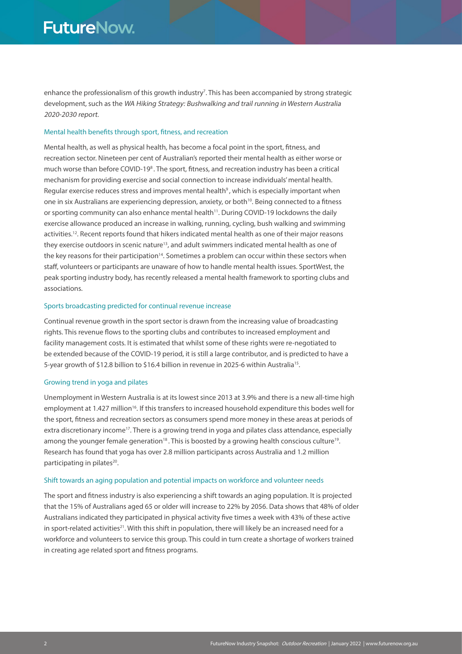enhance the professionalism of this growth industry<sup>7</sup>. This has been accompanied by strong strategic development, such as the WA Hiking Strategy: Bushwalking and trail running in Western Australia 2020-2030 report.

#### Mental health benefits through sport, fitness, and recreation

Mental health, as well as physical health, has become a focal point in the sport, fitness, and recreation sector. Nineteen per cent of Australian's reported their mental health as either worse or much worse than before COVID-19<sup>8</sup>. The sport, fitness, and recreation industry has been a critical mechanism for providing exercise and social connection to increase individuals' mental health. Regular exercise reduces stress and improves mental health<sup>9</sup>, which is especially important when one in six Australians are experiencing depression, anxiety, or both<sup>10</sup>. Being connected to a fitness or sporting community can also enhance mental health<sup>11</sup>. During COVID-19 lockdowns the daily exercise allowance produced an increase in walking, running, cycling, bush walking and swimming activities.12. Recent reports found that hikers indicated mental health as one of their major reasons they exercise outdoors in scenic nature<sup>13</sup>, and adult swimmers indicated mental health as one of the key reasons for their participation<sup>14</sup>. Sometimes a problem can occur within these sectors when staff, volunteers or participants are unaware of how to handle mental health issues. SportWest, the peak sporting industry body, has recently released a mental health framework to sporting clubs and associations.

#### Sports broadcasting predicted for continual revenue increase

Continual revenue growth in the sport sector is drawn from the increasing value of broadcasting rights. This revenue flows to the sporting clubs and contributes to increased employment and facility management costs. It is estimated that whilst some of these rights were re-negotiated to be extended because of the COVID-19 period, it is still a large contributor, and is predicted to have a 5-year growth of \$12.8 billion to \$16.4 billion in revenue in 2025-6 within Australia<sup>15</sup>.

#### Growing trend in yoga and pilates

Unemployment in Western Australia is at its lowest since 2013 at 3.9% and there is a new all-time high employment at 1.427 million<sup>16</sup>. If this transfers to increased household expenditure this bodes well for the sport, fitness and recreation sectors as consumers spend more money in these areas at periods of extra discretionary income<sup>17</sup>. There is a growing trend in yoga and pilates class attendance, especially among the younger female generation<sup>18</sup>. This is boosted by a growing health conscious culture<sup>19</sup>. Research has found that yoga has over 2.8 million participants across Australia and 1.2 million participating in pilates<sup>20</sup>.

#### Shift towards an aging population and potential impacts on workforce and volunteer needs

The sport and fitness industry is also experiencing a shift towards an aging population. It is projected that the 15% of Australians aged 65 or older will increase to 22% by 2056. Data shows that 48% of older Australians indicated they participated in physical activity five times a week with 43% of these active in sport-related activities<sup>21</sup>. With this shift in population, there will likely be an increased need for a workforce and volunteers to service this group. This could in turn create a shortage of workers trained in creating age related sport and fitness programs.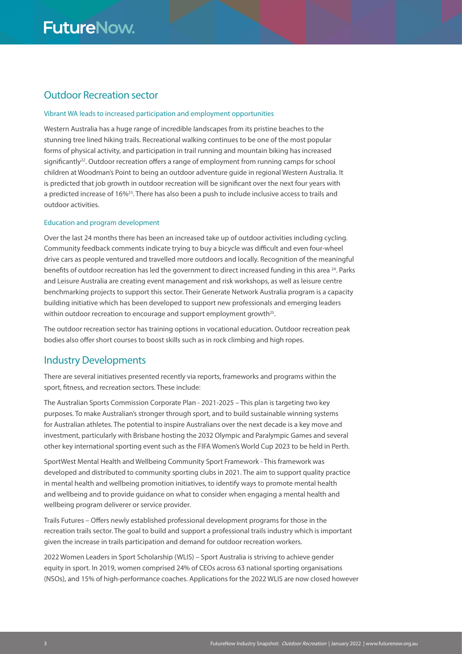# Outdoor Recreation sector

#### Vibrant WA leads to increased participation and employment opportunities

Western Australia has a huge range of incredible landscapes from its pristine beaches to the stunning tree lined hiking trails. Recreational walking continues to be one of the most popular forms of physical activity, and participation in trail running and mountain biking has increased significantly<sup>22</sup>. Outdoor recreation offers a range of employment from running camps for school children at Woodman's Point to being an outdoor adventure guide in regional Western Australia. It is predicted that job growth in outdoor recreation will be significant over the next four years with a predicted increase of 16%23. There has also been a push to include inclusive access to trails and outdoor activities.

#### Education and program development

Over the last 24 months there has been an increased take up of outdoor activities including cycling. Community feedback comments indicate trying to buy a bicycle was difficult and even four-wheel drive cars as people ventured and travelled more outdoors and locally. Recognition of the meaningful benefits of outdoor recreation has led the government to direct increased funding in this area <sup>24</sup>. Parks and Leisure Australia are creating event management and risk workshops, as well as leisure centre benchmarking projects to support this sector. Their Generate Network Australia program is a capacity building initiative which has been developed to support new professionals and emerging leaders within outdoor recreation to encourage and support employment growth<sup>25</sup>.

The outdoor recreation sector has training options in vocational education. Outdoor recreation peak bodies also offer short courses to boost skills such as in rock climbing and high ropes.

### Industry Developments

There are several initiatives presented recently via reports, frameworks and programs within the sport, fitness, and recreation sectors. These include:

The Australian Sports Commission Corporate Plan - 2021-2025 – This plan is targeting two key purposes. To make Australian's stronger through sport, and to build sustainable winning systems for Australian athletes. The potential to inspire Australians over the next decade is a key move and investment, particularly with Brisbane hosting the 2032 Olympic and Paralympic Games and several other key international sporting event such as the FIFA Women's World Cup 2023 to be held in Perth.

SportWest Mental Health and Wellbeing Community Sport Framework - This framework was developed and distributed to community sporting clubs in 2021. The aim to support quality practice in mental health and wellbeing promotion initiatives, to identify ways to promote mental health and wellbeing and to provide guidance on what to consider when engaging a mental health and wellbeing program deliverer or service provider.

Trails Futures – Offers newly established professional development programs for those in the recreation trails sector. The goal to build and support a professional trails industry which is important given the increase in trails participation and demand for outdoor recreation workers.

2022 Women Leaders in Sport Scholarship (WLIS) – Sport Australia is striving to achieve gender equity in sport. In 2019, women comprised 24% of CEOs across 63 national sporting organisations (NSOs), and 15% of high-performance coaches. Applications for the 2022 WLIS are now closed however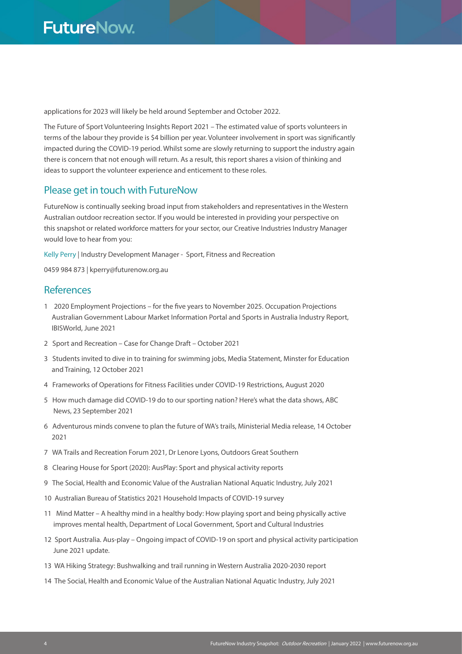applications for 2023 will likely be held around September and October 2022.

The Future of Sport Volunteering Insights Report 2021 – The estimated value of sports volunteers in terms of the labour they provide is \$4 billion per year. Volunteer involvement in sport was significantly impacted during the COVID-19 period. Whilst some are slowly returning to support the industry again there is concern that not enough will return. As a result, this report shares a vision of thinking and ideas to support the volunteer experience and enticement to these roles.

## Please get in touch with FutureNow

FutureNow is continually seeking broad input from stakeholders and representatives in the Western Australian outdoor recreation sector. If you would be interested in providing your perspective on this snapshot or related workforce matters for your sector, our Creative Industries Industry Manager would love to hear from you:

Kelly Perry | Industry Development Manager - Sport, Fitness and Recreation

0459 984 873 | kperry@futurenow.org.au

# References

- 1 2020 Employment Projections for the five years to November 2025. Occupation Projections Australian Government Labour Market Information Portal and Sports in Australia Industry Report, IBISWorld, June 2021
- 2 Sport and Recreation Case for Change Draft October 2021
- 3 Students invited to dive in to training for swimming jobs, Media Statement, Minster for Education and Training, 12 October 2021
- 4 Frameworks of Operations for Fitness Facilities under COVID-19 Restrictions, August 2020
- 5 How much damage did COVID-19 do to our sporting nation? Here's what the data shows, ABC News, 23 September 2021
- 6 Adventurous minds convene to plan the future of WA's trails, Ministerial Media release, 14 October 2021
- 7 WA Trails and Recreation Forum 2021, Dr Lenore Lyons, Outdoors Great Southern
- 8 Clearing House for Sport (2020): AusPlay: Sport and physical activity reports
- 9 The Social, Health and Economic Value of the Australian National Aquatic Industry, July 2021
- 10 Australian Bureau of Statistics 2021 Household Impacts of COVID-19 survey
- 11 Mind Matter A healthy mind in a healthy body: How playing sport and being physically active improves mental health, Department of Local Government, Sport and Cultural Industries
- 12 Sport Australia. Aus-play Ongoing impact of COVID-19 on sport and physical activity participation June 2021 update.
- 13 WA Hiking Strategy: Bushwalking and trail running in Western Australia 2020-2030 report
- 14 The Social, Health and Economic Value of the Australian National Aquatic Industry, July 2021